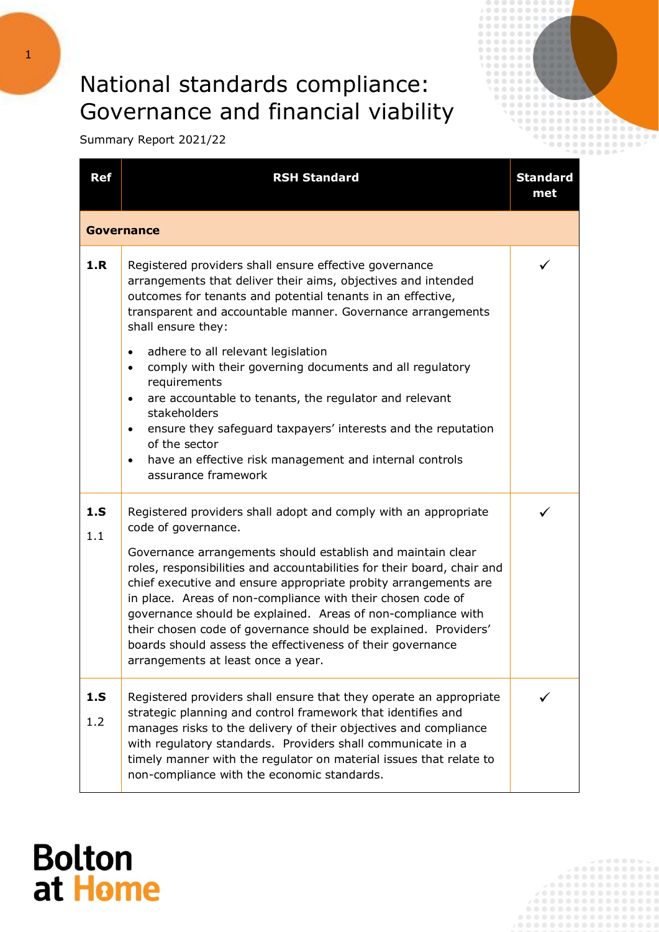## National standards compliance: Governance and financial viability

Summary Report 2021/22

| <b>Ref</b> | <b>RSH Standard</b>                                                                                                                                                                                                                                                                                                                                                                                                                                                                                                                                                                                       | <b>Standard</b><br>met |  |
|------------|-----------------------------------------------------------------------------------------------------------------------------------------------------------------------------------------------------------------------------------------------------------------------------------------------------------------------------------------------------------------------------------------------------------------------------------------------------------------------------------------------------------------------------------------------------------------------------------------------------------|------------------------|--|
| Governance |                                                                                                                                                                                                                                                                                                                                                                                                                                                                                                                                                                                                           |                        |  |
| 1.R        | Registered providers shall ensure effective governance<br>arrangements that deliver their aims, objectives and intended<br>outcomes for tenants and potential tenants in an effective,<br>transparent and accountable manner. Governance arrangements<br>shall ensure they:                                                                                                                                                                                                                                                                                                                               |                        |  |
|            | adhere to all relevant legislation<br>$\bullet$<br>comply with their governing documents and all regulatory<br>$\bullet$<br>requirements<br>are accountable to tenants, the regulator and relevant<br>٠<br>stakeholders<br>ensure they safeguard taxpayers' interests and the reputation<br>$\bullet$<br>of the sector<br>have an effective risk management and internal controls<br>$\bullet$<br>assurance framework                                                                                                                                                                                     |                        |  |
| 1.S<br>1.1 | Registered providers shall adopt and comply with an appropriate<br>code of governance.<br>Governance arrangements should establish and maintain clear<br>roles, responsibilities and accountabilities for their board, chair and<br>chief executive and ensure appropriate probity arrangements are<br>in place. Areas of non-compliance with their chosen code of<br>governance should be explained. Areas of non-compliance with<br>their chosen code of governance should be explained. Providers'<br>boards should assess the effectiveness of their governance<br>arrangements at least once a year. |                        |  |
| 1.S<br>1.2 | Registered providers shall ensure that they operate an appropriate<br>strategic planning and control framework that identifies and<br>manages risks to the delivery of their objectives and compliance<br>with regulatory standards. Providers shall communicate in a<br>timely manner with the regulator on material issues that relate to<br>non-compliance with the economic standards.                                                                                                                                                                                                                |                        |  |

## **Bolton** at Home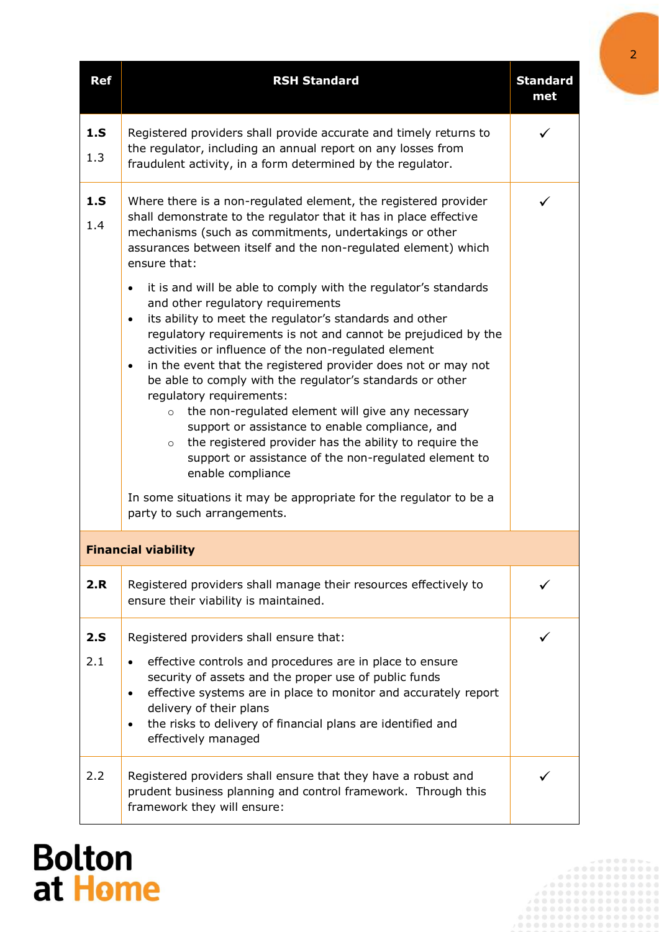| <b>Ref</b> | <b>RSH Standard</b>                                                                                                                                                                                                                                                                                                                                                                                                                                                                                                                                                                                                                                                                                                                                                                                                                                                                                                                                                                                                                                                                                                                                       | <b>Standard</b><br>met |
|------------|-----------------------------------------------------------------------------------------------------------------------------------------------------------------------------------------------------------------------------------------------------------------------------------------------------------------------------------------------------------------------------------------------------------------------------------------------------------------------------------------------------------------------------------------------------------------------------------------------------------------------------------------------------------------------------------------------------------------------------------------------------------------------------------------------------------------------------------------------------------------------------------------------------------------------------------------------------------------------------------------------------------------------------------------------------------------------------------------------------------------------------------------------------------|------------------------|
| 1.S<br>1.3 | Registered providers shall provide accurate and timely returns to<br>the regulator, including an annual report on any losses from<br>fraudulent activity, in a form determined by the regulator.                                                                                                                                                                                                                                                                                                                                                                                                                                                                                                                                                                                                                                                                                                                                                                                                                                                                                                                                                          | ✓                      |
| 1.S<br>1.4 | Where there is a non-regulated element, the registered provider<br>shall demonstrate to the regulator that it has in place effective<br>mechanisms (such as commitments, undertakings or other<br>assurances between itself and the non-regulated element) which<br>ensure that:<br>it is and will be able to comply with the regulator's standards<br>$\bullet$<br>and other regulatory requirements<br>its ability to meet the regulator's standards and other<br>$\bullet$<br>regulatory requirements is not and cannot be prejudiced by the<br>activities or influence of the non-regulated element<br>in the event that the registered provider does not or may not<br>$\bullet$<br>be able to comply with the regulator's standards or other<br>regulatory requirements:<br>the non-regulated element will give any necessary<br>$\circ$<br>support or assistance to enable compliance, and<br>the registered provider has the ability to require the<br>$\circ$<br>support or assistance of the non-regulated element to<br>enable compliance<br>In some situations it may be appropriate for the regulator to be a<br>party to such arrangements. |                        |
|            | <b>Financial viability</b>                                                                                                                                                                                                                                                                                                                                                                                                                                                                                                                                                                                                                                                                                                                                                                                                                                                                                                                                                                                                                                                                                                                                |                        |
| 2.R        | Registered providers shall manage their resources effectively to<br>ensure their viability is maintained.                                                                                                                                                                                                                                                                                                                                                                                                                                                                                                                                                                                                                                                                                                                                                                                                                                                                                                                                                                                                                                                 |                        |
| 2.S<br>2.1 | Registered providers shall ensure that:<br>effective controls and procedures are in place to ensure<br>$\bullet$<br>security of assets and the proper use of public funds<br>effective systems are in place to monitor and accurately report<br>$\bullet$<br>delivery of their plans<br>the risks to delivery of financial plans are identified and<br>$\bullet$<br>effectively managed                                                                                                                                                                                                                                                                                                                                                                                                                                                                                                                                                                                                                                                                                                                                                                   |                        |
| 2.2        | Registered providers shall ensure that they have a robust and<br>prudent business planning and control framework. Through this<br>framework they will ensure:                                                                                                                                                                                                                                                                                                                                                                                                                                                                                                                                                                                                                                                                                                                                                                                                                                                                                                                                                                                             |                        |

## **Bolton**<br>at Home

2